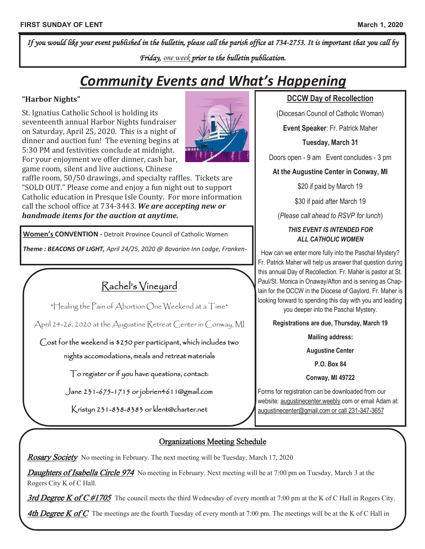*If you would like your event published in the bulletin, please call the parish office at 734-2753. It is important that you call by Friday, one week prior to the bulletin publication.* 

# *Community Events and What's Happening*

#### **"Harbor Nights"**

St. Ignatius Catholic School is holding its seventeenth annual Harbor Nights fundraiser on Saturday, April 25, 2020. This is a night of dinner and auction fun! The evening begins at 5:30 PM and festivities conclude at midnight. For your enjoyment we offer dinner, cash bar, game room, silent and live auctions, Chinese



raffle room, 50/50 drawings, and specialty raffles. Tickets are "SOLD OUT." Please come and enjoy a fun night out to support Catholic education in Presque Isle County. For more information call the school office at 734-3443. *We are accepting new or handmade items for the auction at anytime.* 

**Women's CONVENTION -** Detroit Province Council of Catholic Women

*Theme : BEACONS OF LIGHT, April 24/25, 2020 @ Bavarian Inn Lodge, Franken-*

Rachel's Vineyard

\*Healing the Pain of Abortion One Weekend at a Time\*

April 24-26, 2020 at the Augustine Retreat Center in Conway, MI

Cost for the weekend is \$250 per participant, which includes two nights accomodations, meals and retreat materials

To register or if you have questions, contact:

Jane 231-675-1715 or jobrien4611@gmail.com

Kristyn 231-838-8383 or klent@charter.net

### **DCCW Day of Recollection**

(Diocesan Council of Catholic Woman)

**Event Speaker**: Fr. Patrick Maher

**Tuesday, March 31**

Doors open - 9 am Event concludes - 3 pm

**At the Augustine Center in Conway, MI**

\$20 if paid by March 19

\$30 if paid after March 19

(*Please call ahead to RSVP for lunch*)

#### *THIS EVENT IS INTENDED FOR ALL CATHOLIC WOMEN*

How can we enter more fully into the Paschal Mystery? Fr. Patrick Maher will help us answer that question during this annual Day of Recollection. Fr. Maher is pastor at St. Paul/St. Monica in Onaway/Afton and is serving as Chaplain for the DCCW in the Diocese of Gaylord. Fr. Maher is looking forward to spending this day with you and leading you deeper into the Paschal Mystery.

**Registrations are due, Thursday, March 19**

**Mailing address:**

**Augustine Center**

**P.O. Box 84**

**Conway, MI 49722**

Forms for registration can be downloaded from our website: augustinecenter.weebly.com or email Adam at: augustinecenter@gmail.com or call 231-347-3657

# Organizations Meeting Schedule

**Rosary Society** No meeting in February. The next meeting will be Tuesday, March 17, 2020

**Daughters of Isabella Circle 974** No meeting in February. Next meeting will be at 7:00 pm on Tuesday, March 3 at the Rogers City K of C Hall.

3rd Degree K of C #1705 The council meets the third Wednesday of every month at 7:00 pm at the K of C Hall in Rogers City.

4th Degree K of C The meetings are the fourth Tuesday of every month at 7:00 pm. The meetings will be at the K of C Hall in